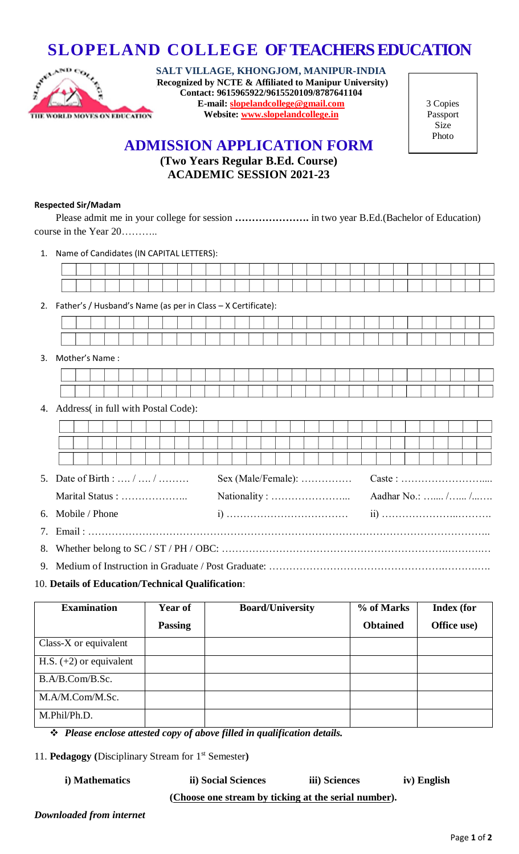

**SLOPELAND COLLEGE OF TEACHERS EDUCATION**<br>SALT VILLAGE, KHONGJOM, MANIPUR-INDIA<br>CONSERVED BY NOTE & Affiliated to Manipur University) **SALT VILLAGE, KHONGJOM, MANIPUR-INDIA (Recognized by NCTE & Affiliated to Manipur University) Contact: 9615965922/9615520109/8787641104 E-mail: [slopelandcollege@gmail.com](mailto:slopelandcollege@gmail.com) Website: [www.slopelandcollege.in](http://www.slopelandcollege.in/)**

3 Copies Passport Size Photo

# **ADMISSION APPLICATION FORM**

# **(Two Years Regular B.Ed. Course) ACADEMIC SESSION 2021-23**

#### **Respected Sir/Madam**

Please admit me in your college for session **………………….** in two year B.Ed.(Bachelor of Education) course in the Year 20………..

1. Name of Candidates (IN CAPITAL LETTERS):

2. Father's / Husband's Name (as per in Class – X Certificate):

#### 3. Mother's Name :

### 4. Address( in full with Postal Code):

| 5. Date of Birth :  /  / | $Sex (Male/Female): \ldots \ldots \ldots$ |  | $\text{Cast} : \dots \dots \dots \dots \dots \dots \dots \dots \dots$ |  |  |  |  |  |  |  |  |  |
|--------------------------|-------------------------------------------|--|-----------------------------------------------------------------------|--|--|--|--|--|--|--|--|--|
| Marital Status :         |                                           |  | Aadhar No.:  / /                                                      |  |  |  |  |  |  |  |  |  |
| 6. Mobile / Phone        |                                           |  |                                                                       |  |  |  |  |  |  |  |  |  |
|                          |                                           |  |                                                                       |  |  |  |  |  |  |  |  |  |
|                          |                                           |  |                                                                       |  |  |  |  |  |  |  |  |  |
|                          |                                           |  |                                                                       |  |  |  |  |  |  |  |  |  |

### 10. **Details of Education/Technical Qualification**:

| <b>Examination</b>        | Year of        | <b>Board/University</b> | % of Marks      | <b>Index</b> (for |
|---------------------------|----------------|-------------------------|-----------------|-------------------|
|                           | <b>Passing</b> |                         | <b>Obtained</b> | Office use)       |
| Class- $X$ or equivalent  |                |                         |                 |                   |
| H.S. $(+2)$ or equivalent |                |                         |                 |                   |
| B.A/B.Com/B.Sc.           |                |                         |                 |                   |
| M.A/M.Com/M.Sc.           |                |                         |                 |                   |
| M.Phil/Ph.D.              |                |                         |                 |                   |

*Please enclose attested copy of above filled in qualification details.*

11. **Pedagogy (**Disciplinary Stream for 1st Semester**)** 

**i) Mathematics ii) Social Sciences iii) Sciences iv) English (Choose one stream by ticking at the serial number).**

*Downloaded from internet*